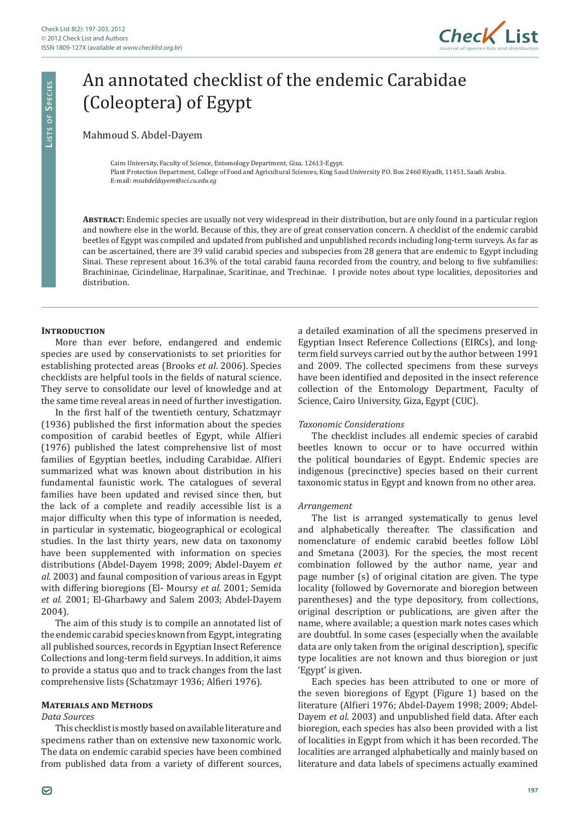

# An annotated checklist of the endemic Carabidae (Coleoptera) of Egypt

## Mahmoud S. Abdel-Dayem

Cairo University, Faculty of Science, Entomology Department, Giza, 12613-Egypt. Plant Protection Department, College of Food and Agricultural Sciences, King Saud University P.O. Box 2460 Riyadh, 11451, Saudi Arabia. E-mail: *msabdeldayem@sci.cu.edu.eg*

**Abstract:** Endemic species are usually not very widespread in their distribution, but are only found in a particular region and nowhere else in the world. Because of this, they are of great conservation concern. A checklist of the endemic carabid beetles of Egypt was compiled and updated from published and unpublished records including long-term surveys. As far as can be ascertained, there are 39 valid carabid species and subspecies from 28 genera that are endemic to Egypt including Sinai. These represent about 16.3% of the total carabid fauna recorded from the country, and belong to five subfamilies: Brachininae, Cicindelinae, Harpalinae, Scaritinae, and Trechinae. I provide notes about type localities, depositories and distribution.

#### **INTRODUCTION**

**Li s t s o f Sp e c i e s**

LISTS OF SPECIES

More than ever before, endangered and endemic species are used by conservationists to set priorities for establishing protected areas (Brooks *et al*. 2006). Species checklists are helpful tools in the fields of natural science. They serve to consolidate our level of knowledge and at the same time reveal areas in need of further investigation.

In the first half of the twentieth century, Schatzmayr (1936) published the first information about the species composition of carabid beetles of Egypt, while Alfieri (1976) published the latest comprehensive list of most families of Egyptian beetles, including Carabidae. Alfieri summarized what was known about distribution in his fundamental faunistic work. The catalogues of several families have been updated and revised since then, but the lack of a complete and readily accessible list is a major difficulty when this type of information is needed, in particular in systematic, biogeographical or ecological studies. In the last thirty years, new data on taxonomy have been supplemented with information on species distributions (Abdel-Dayem 1998; 2009; Abdel-Dayem *et al.* 2003) and faunal composition of various areas in Egypt with differing bioregions (El- Moursy *et al.* 2001; Semida *et al.* 2001; El-Gharbawy and Salem 2003; Abdel-Dayem 2004).

The aim of this study is to compile an annotated list of the endemic carabid species known from Egypt, integrating all published sources, records in Egyptian Insect Reference Collections and long-term field surveys. In addition, it aims to provide a status quo and to track changes from the last comprehensive lists (Schatzmayr 1936; Alfieri 1976).

#### **Materials and Methods**

#### *Data Sources*

This checklist is mostly based on available literature and specimens rather than on extensive new taxonomic work. The data on endemic carabid species have been combined from published data from a variety of different sources,

a detailed examination of all the specimens preserved in Egyptian Insect Reference Collections (EIRCs), and longterm field surveys carried out by the author between 1991 and 2009. The collected specimens from these surveys have been identified and deposited in the insect reference collection of the Entomology Department, Faculty of Science, Cairo University, Giza, Egypt (CUC).

#### *Taxonomic Considerations*

The checklist includes all endemic species of carabid beetles known to occur or to have occurred within the political boundaries of Egypt. Endemic species are indigenous (precinctive) species based on their current taxonomic status in Egypt and known from no other area.

#### *Arrangement*

The list is arranged systematically to genus level and alphabetically thereafter. The classification and nomenclature of endemic carabid beetles follow Löbl and Smetana (2003). For the species, the most recent combination followed by the author name, year and page number (s) of original citation are given. The type locality (followed by Governorate and bioregion between parentheses) and the type depository, from collections, original description or publications, are given after the name, where available; a question mark notes cases which are doubtful. In some cases (especially when the available data are only taken from the original description), specific type localities are not known and thus bioregion or just 'Egypt' is given.

Each species has been attributed to one or more of the seven bioregions of Egypt (Figure 1) based on the literature (Alfieri 1976; Abdel-Dayem 1998; 2009; Abdel-Dayem *et al.* 2003) and unpublished field data. After each bioregion, each species has also been provided with a list of localities in Egypt from which it has been recorded. The localities are arranged alphabetically and mainly based on literature and data labels of specimens actually examined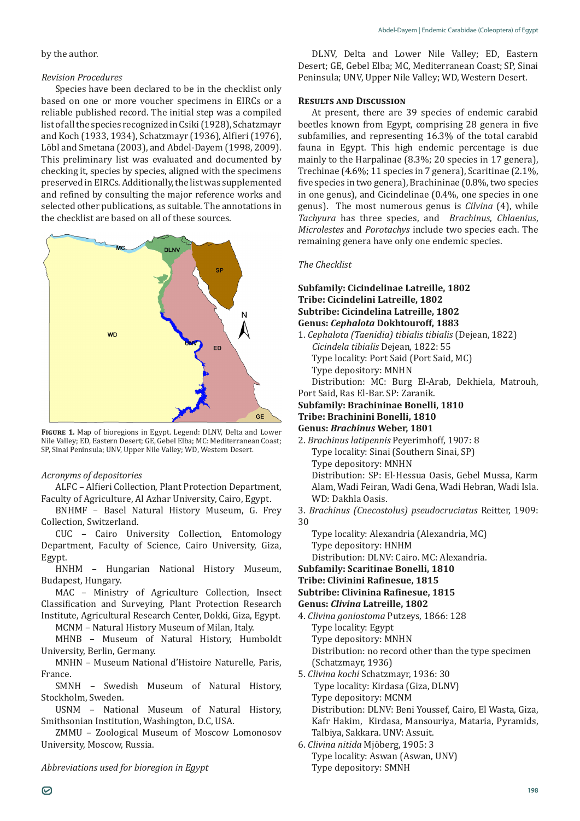#### by the author.

#### *Revision Procedures*

Species have been declared to be in the checklist only based on one or more voucher specimens in EIRCs or a reliable published record. The initial step was a compiled list of all the species recognized in Csiki (1928), Schatzmayr and Koch (1933, 1934), Schatzmayr (1936), Alfieri (1976), Löbl and Smetana (2003), and Abdel-Dayem (1998, 2009). This preliminary list was evaluated and documented by checking it, species by species, aligned with the specimens preserved in EIRCs. Additionally, the list was supplemented and refined by consulting the major reference works and selected other publications, as suitable. The annotations in the checklist are based on all of these sources.



**Figure 1.** Map of bioregions in Egypt. Legend: DLNV, Delta and Lower Nile Valley; ED, Eastern Desert; GE, Gebel Elba; MC: Mediterranean Coast; SP, Sinai Peninsula; UNV, Upper Nile Valley; WD, Western Desert.

#### *Acronyms of depositories*

ALFC – Alfieri Collection, Plant Protection Department, Faculty of Agriculture, Al Azhar University, Cairo, Egypt.

BNHMF – Basel Natural History Museum, G. Frey Collection, Switzerland.

CUC – Cairo University Collection, Entomology Department, Faculty of Science, Cairo University, Giza, Egypt.

HNHM – Hungarian National History Museum, Budapest, Hungary.

MAC – Ministry of Agriculture Collection, Insect Classification and Surveying, Plant Protection Research Institute, Agricultural Research Center, Dokki, Giza, Egypt.

MCNM – Natural History Museum of Milan, Italy.

MHNB – Museum of Natural History, Humboldt University, Berlin, Germany.

MNHN – Museum National d'Histoire Naturelle, Paris, France.

SMNH – Swedish Museum of Natural History, Stockholm, Sweden.

USNM – National Museum of Natural History, Smithsonian Institution, Washington, D.C, USA.

ZMMU – Zoological Museum of Moscow Lomonosov University, Moscow, Russia.

*Abbreviations used for bioregion in Egypt*

DLNV, Delta and Lower Nile Valley; ED, Eastern Desert; GE, Gebel Elba; MC, Mediterranean Coast; SP, Sinai Peninsula; UNV, Upper Nile Valley; WD, Western Desert.

#### **Results and Discussion**

At present, there are 39 species of endemic carabid beetles known from Egypt, comprising 28 genera in five subfamilies, and representing 16.3% of the total carabid fauna in Egypt. This high endemic percentage is due mainly to the Harpalinae (8.3%; 20 species in 17 genera), Trechinae (4.6%; 11 species in 7 genera), Scaritinae (2.1%, five species in two genera), Brachininae (0.8%, two species in one genus), and Cicindelinae (0.4%, one species in one genus). The most numerous genus is *Cilvina* (4), while *Tachyura* has three species, and *Brachinus*, *Chlaenius*, *Microlestes* and *Porotachys* include two species each. The remaining genera have only one endemic species.

#### *The Checklist*

**Subfamily: Cicindelinae Latreille, 1802 Tribe: Cicindelini Latreille, 1802 Subtribe: Cicindelina Latreille, 1802 Genus:** *Cephalota* **Dokhtouroff, 1883** 1. *Cephalota (Taenidia) tibialis tibialis* (Dejean, 1822) *Cicindela tibialis* Dejean, 1822: 55 Type locality: Port Said (Port Said, MC) Type depository: MNHN Distribution: MC: Burg El-Arab, Dekhiela, Matrouh, Port Said, Ras El-Bar. SP: Zaranik. **Subfamily: Brachininae Bonelli, 1810 Tribe: Brachinini Bonelli, 1810 Genus:** *Brachinus* **Weber, 1801** 2. *Brachinus latipennis* Peyerimhoff, 1907: 8 Type locality: Sinai (Southern Sinai, SP) Type depository: MNHN Distribution: SP: El-Hessua Oasis, Gebel Mussa, Karm Alam, Wadi Feiran, Wadi Gena, Wadi Hebran, Wadi Isla. WD: Dakhla Oasis. 3. *Brachinus (Cnecostolus) pseudocruciatus* Reitter, 1909: 30 Type locality: Alexandria (Alexandria, MC) Type depository: HNHM Distribution: DLNV: Cairo. MC: Alexandria. **Subfamily: Scaritinae Bonelli, 1810 Tribe: Clivinini Rafinesue, 1815 Subtribe: Clivinina Rafinesue, 1815 Genus:** *Clivina* **Latreille, 1802** 4. *Clivina goniostoma* Putzeys, 1866: 128 Type locality: Egypt Type depository: MNHN Distribution: no record other than the type specimen (Schatzmayr, 1936) 5. *Clivina kochi* Schatzmayr, 1936: 30 Type locality: Kirdasa (Giza, DLNV) Type depository: MCNM Distribution: DLNV: Beni Youssef, Cairo, El Wasta, Giza, Kafr Hakim, Kirdasa, Mansouriya, Mataria, Pyramids, Talbiya, Sakkara. UNV: Assuit.

6. *Clivina nitida* Mjöberg, 1905: 3 Type locality: Aswan (Aswan, UNV) Type depository: SMNH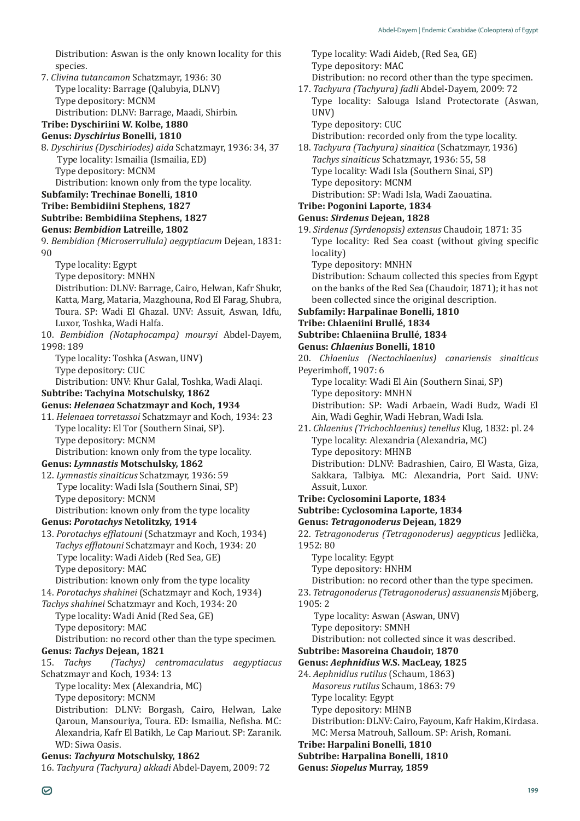Distribution: Aswan is the only known locality for this species.

- 7. *Clivina tutancamon* Schatzmayr, 1936: 30 Type locality: Barrage (Qalubyia, DLNV) Type depository: MCNM Distribution: DLNV: Barrage, Maadi, Shirbin.
- **Tribe: Dyschiriini W. Kolbe, 1880**

# **Genus:** *Dyschirius* **Bonelli, 1810**

8. *Dyschirius (Dyschiriodes) aida* Schatzmayr, 1936: 34, 37 Type locality: Ismailia (Ismailia, ED) Type depository: MCNM

Distribution: known only from the type locality.

**Subfamily: Trechinae Bonelli, 1810**

# **Tribe: Bembidiini Stephens, 1827**

# **Subtribe: Bembidiina Stephens, 1827**

- **Genus:** *Bembidion* **Latreille, 1802**
- 9. *Bembidion (Microserrullula) aegyptiacum* Dejean, 1831: 90
	- Type locality: Egypt
	- Type depository: MNHN
	- Distribution: DLNV: Barrage, Cairo, Helwan, Kafr Shukr, Katta, Marg, Mataria, Mazghouna, Rod El Farag, Shubra, Toura. SP: Wadi El Ghazal. UNV: Assuit, Aswan, Idfu, Luxor, Toshka, Wadi Halfa.
- 10. *Bembidion (Notaphocampa) moursyi* Abdel-Dayem, 1998: 189

Type locality: Toshka (Aswan, UNV) Type depository: CUC

Distribution: UNV: Khur Galal, Toshka, Wadi Alaqi.

## **Subtribe: Tachyina Motschulsky, 1862**

## **Genus:** *Helenaea* **Schatzmayr and Koch, 1934**

11. *Helenaea torretassoi* Schatzmayr and Koch, 1934: 23 Type locality: El Tor (Southern Sinai, SP). Type depository: MCNM Distribution: known only from the type locality.

## **Genus:** *Lymnastis* **Motschulsky, 1862**

12. *Lymnastis sinaiticus* Schatzmayr, 1936: 59 Type locality: Wadi Isla (Southern Sinai, SP) Type depository: MCNM Distribution: known only from the type locality

# **Genus:** *Porotachys* **Netolitzky, 1914**

13. *Porotachys efflatouni* (Schatzmayr and Koch, 1934) *Tachys efflatouni* Schatzmayr and Koch, 1934: 20 Type locality: Wadi Aideb (Red Sea, GE) Type depository: MAC

Distribution: known only from the type locality

- 14. *Porotachys shahinei* (Schatzmayr and Koch, 1934)
- *Tachys shahinei* Schatzmayr and Koch, 1934: 20 Type locality: Wadi Anid (Red Sea, GE) Type depository: MAC

Distribution: no record other than the type specimen. **Genus:** *Tachys* **Dejean, 1821**

15. *Tachys (Tachys) centromaculatus aegyptiacus* Schatzmayr and Koch, 1934: 13

- Type locality: Mex (Alexandria, MC)
- Type depository: MCNM

Distribution: DLNV: Borgash, Cairo, Helwan, Lake Qaroun, Mansouriya, Toura. ED: Ismailia, Nefisha. MC: Alexandria, Kafr El Batikh, Le Cap Mariout. SP: Zaranik. WD: Siwa Oasis.

# **Genus:** *Tachyura* **Motschulsky, 1862**

16. *Tachyura (Tachyura) akkadi* Abdel-Dayem, 2009: 72

Type locality: Wadi Aideb, (Red Sea, GE) Type depository: MAC Distribution: no record other than the type specimen.

- 17. *Tachyura (Tachyura) fadli* Abdel-Dayem, 2009: 72 Type locality: Salouga Island Protectorate (Aswan, UNV)
	- Type depository: CUC

Distribution: recorded only from the type locality.

18. *Tachyura (Tachyura) sinaitica* (Schatzmayr, 1936) *Tachys sinaiticus* Schatzmayr, 1936: 55, 58 Type locality: Wadi Isla (Southern Sinai, SP) Type depository: MCNM

Distribution: SP: Wadi Isla, Wadi Zaouatina.

#### **Tribe: Pogonini Laporte, 1834 Genus:** *Sirdenus* **Dejean, 1828**

- 19. *Sirdenus (Syrdenopsis) extensus* Chaudoir, 1871: 35 Type locality: Red Sea coast (without giving specific locality)
	- Type depository: MNHN

Distribution: Schaum collected this species from Egypt on the banks of the Red Sea (Chaudoir, 1871); it has not been collected since the original description.

# **Subfamily: Harpalinae Bonelli, 1810**

# **Tribe: Chlaeniini Brullé, 1834**

- **Subtribe: Chlaeniina Brullé, 1834**
- **Genus:** *Chlaenius* **Bonelli, 1810**
- 20. *Chlaenius (Nectochlaenius) canariensis sinaiticus* Peyerimhoff, 1907: 6

Type locality: Wadi El Ain (Southern Sinai, SP)

Type depository: MNHN

Distribution: SP: Wadi Arbaein, Wadi Budz, Wadi El Ain, Wadi Geghir, Wadi Hebran, Wadi Isla.

- 21. *Chlaenius (Trichochlaenius) tenellus* Klug, 1832: pl. 24 Type locality: Alexandria (Alexandria, MC) Type depository: MHNB Distribution: DLNV: Badrashien, Cairo, El Wasta, Giza, Sakkara, Talbiya. MC: Alexandria, Port Said. UNV:
- Assuit, Luxor. **Tribe: Cyclosomini Laporte, 1834**
- **Subtribe: Cyclosomina Laporte, 1834**

# **Genus:** *Tetragonoderus* **Dejean, 1829**

22. *Tetragonoderus (Tetragonoderus) aegypticus* Jedlička, 1952: 80

Type locality: Egypt

Type depository: HNHM

Distribution: no record other than the type specimen.

23. *Tetragonoderus (Tetragonoderus) assuanensis* Mjöberg, 1905: 2

Type locality: Aswan (Aswan, UNV)

Type depository: SMNH

Distribution: not collected since it was described.

# **Subtribe: Masoreina Chaudoir, 1870**

# **Genus:** *Aephnidius* **W.S. MacLeay, 1825**

24. *Aephnidius rutilus* (Schaum, 1863)

- *Masoreus rutilus* Schaum, 1863: 79
- Type locality: Egypt
- Type depository: MHNB

Distribution: DLNV: Cairo, Fayoum, Kafr Hakim, Kirdasa.

MC: Mersa Matrouh, Salloum. SP: Arish, Romani.

# **Tribe: Harpalini Bonelli, 1810**

**Subtribe: Harpalina Bonelli, 1810**

**Genus:** *Siopelus* **Murray, 1859**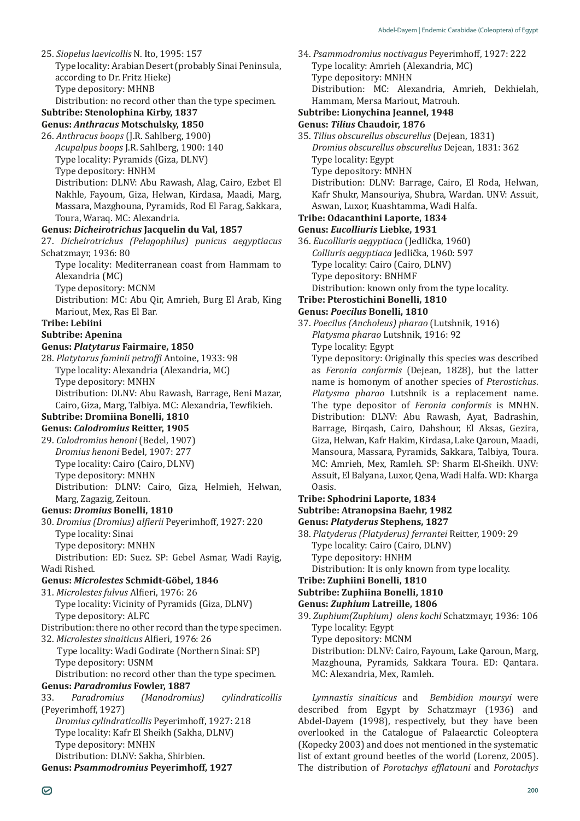25. *Siopelus laevicollis* N. Ito, 1995: 157 Type locality: Arabian Desert (probably Sinai Peninsula, according to Dr. Fritz Hieke) Type depository: MHNB Distribution: no record other than the type specimen.

# **Subtribe: Stenolophina Kirby, 1837**

**Genus:** *Anthracus* **Motschulsky, 1850**

26. *Anthracus boops* (J.R. Sahlberg, 1900) *Acupalpus boops* J.R. Sahlberg, 1900: 140 Type locality: Pyramids (Giza, DLNV) Type depository: HNHM Distribution: DLNV: Abu Rawash, Alag, Cairo, Ezbet El Nakhle, Fayoum, Giza, Helwan, Kirdasa, Maadi, Marg, Massara, Mazghouna, Pyramids, Rod El Farag, Sakkara, Toura, Waraq. MC: Alexandria.

#### **Genus:** *Dicheirotrichus* **Jacquelin du Val, 1857**

27. *Dicheirotrichus (Pelagophilus) punicus aegyptiacus*  Schatzmayr, 1936: 80 Type locality: Mediterranean coast from Hammam to Alexandria (MC) Type depository: MCNM Distribution: MC: Abu Qir, Amrieh, Burg El Arab, King Mariout, Mex, Ras El Bar. **Tribe: Lebiini Subtribe: Apenina Genus:** *Platytarus* **Fairmaire, 1850** 28. *Platytarus faminii petroffi* Antoine, 1933: 98 Type locality: Alexandria (Alexandria, MC)

Type depository: MNHN

Distribution: DLNV: Abu Rawash, Barrage, Beni Mazar, Cairo, Giza, Marg, Talbiya. MC: Alexandria, Tewfikieh.

#### **Subtribe: Dromiina Bonelli, 1810 Genus:** *Calodromius* **Reitter, 1905**

29. *Calodromius henoni* (Bedel, 1907) *Dromius henoni* Bedel, 1907: 277 Type locality: Cairo (Cairo, DLNV) Type depository: MNHN

Distribution: DLNV: Cairo, Giza, Helmieh, Helwan, Marg, Zagazig, Zeitoun.

## **Genus:** *Dromius* **Bonelli, 1810**

30. *Dromius (Dromius) alfierii* Peyerimhoff, 1927: 220 Type locality: Sinai Type depository: MNHN

Distribution: ED: Suez. SP: Gebel Asmar, Wadi Rayig, Wadi Rished.

## **Genus:** *Microlestes* **Schmidt-Göbel, 1846**

31. *Microlestes fulvus* Alfieri, 1976: 26 Type locality: Vicinity of Pyramids (Giza, DLNV) Type depository: ALFC

- Distribution: there no other record than the type specimen.
- 32. *Microlestes sinaiticus* Alfieri, 1976: 26

 Type locality: Wadi Godirate (Northern Sinai: SP) Type depository: USNM

Distribution: no record other than the type specimen. **Genus:** *Paradromius* **Fowler, 1887**

33. *Paradromius (Manodromius) cylindraticollis* (Peyerimhoff, 1927) *Dromius cylindraticollis* Peyerimhoff, 1927: 218 Type locality: Kafr El Sheikh (Sakha, DLNV) Type depository: MNHN Distribution: DLNV: Sakha, Shirbien. **Genus:** *Psammodromius* **Peyerimhoff, 1927**

34. *Psammodromius noctivagus* Peyerimhoff, 1927: 222 Type locality: Amrieh (Alexandria, MC) Type depository: MNHN Distribution: MC: Alexandria, Amrieh, Dekhielah, Hammam, Mersa Mariout, Matrouh. **Subtribe: Lionychina Jeannel, 1948 Genus:** *Tilius* **Chaudoir, 1876** 35. *Tilius obscurellus obscurellus* (Dejean, 1831) *Dromius obscurellus obscurellus* Dejean, 1831: 362 Type locality: Egypt Type depository: MNHN Distribution: DLNV: Barrage, Cairo, El Roda, Helwan, Kafr Shukr, Mansouriya, Shubra, Wardan. UNV: Assuit, Aswan, Luxor, Kuashtamma, Wadi Halfa. **Tribe: Odacanthini Laporte, 1834 Genus:** *Eucolliuris* **Liebke, 1931** 36. *Eucolliuris aegyptiaca* (Jedlička, 1960) *Colliuris aegyptiaca* Jedlička, 1960: 597 Type locality: Cairo (Cairo, DLNV) Type depository: BNHMF Distribution: known only from the type locality. **Tribe: Pterostichini Bonelli, 1810 Genus:** *Poecilus* **Bonelli, 1810** 37. *Poecilus (Ancholeus) pharao* (Lutshnik, 1916) *Platysma pharao* Lutshnik, 1916: 92 Type locality: Egypt

Type depository: Originally this species was described as *Feronia conformis* (Dejean, 1828), but the latter name is homonym of another species of *Pterostichus*. *Platysma pharao* Lutshnik is a replacement name. The type depositor of *Feronia conformis* is MNHN. Distribution: DLNV: Abu Rawash, Ayat, Badrashin, Barrage, Birqash, Cairo, Dahshour, El Aksas, Gezira, Giza, Helwan, Kafr Hakim, Kirdasa, Lake Qaroun, Maadi, Mansoura, Massara, Pyramids, Sakkara, Talbiya, Toura. MC: Amrieh, Mex, Ramleh. SP: Sharm El-Sheikh. UNV: Assuit, El Balyana, Luxor, Qena, Wadi Halfa. WD: Kharga Oasis.

#### **Tribe: Sphodrini Laporte, 1834**

**Subtribe: Atranopsina Baehr, 1982**

#### **Genus:** *Platyderus* **Stephens, 1827**

38. *Platyderus (Platyderus) ferrantei* Reitter, 1909: 29 Type locality: Cairo (Cairo, DLNV) Type depository: HNHM Distribution: It is only known from type locality.

## **Tribe: Zuphiini Bonelli, 1810**

#### **Subtribe: Zuphiina Bonelli, 1810**

**Genus:** *Zuphium* **Latreille, 1806**

39. *Zuphium(Zuphium) olens kochi* Schatzmayr, 1936: 106 Type locality: Egypt

Type depository: MCNM

Distribution: DLNV: Cairo, Fayoum, Lake Qaroun, Marg, Mazghouna, Pyramids, Sakkara Toura. ED: Qantara. MC: Alexandria, Mex, Ramleh.

*Lymnastis sinaiticus* and *Bembidion moursyi* were described from Egypt by Schatzmayr (1936) and Abdel-Dayem (1998), respectively, but they have been overlooked in the Catalogue of Palaearctic Coleoptera (Kopecky 2003) and does not mentioned in the systematic list of extant ground beetles of the world (Lorenz, 2005). The distribution of *Porotachys efflatouni* and *Porotachys*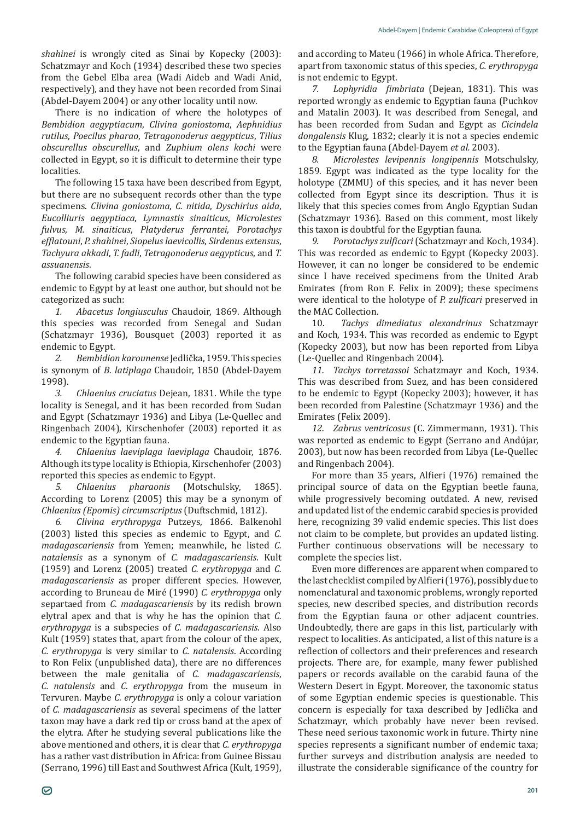*shahinei* is wrongly cited as Sinai by Kopecky (2003): Schatzmayr and Koch (1934) described these two species from the Gebel Elba area (Wadi Aideb and Wadi Anid, respectively), and they have not been recorded from Sinai (Abdel-Dayem 2004) or any other locality until now.

There is no indication of where the holotypes of *Bembidion aegyptiacum*, *Clivina goniostoma*, *Aephnidius rutilus*, *Poecilus pharao*, *Tetragonoderus aegypticus*, *Tilius obscurellus obscurellus*, and *Zuphium olens kochi* were collected in Egypt, so it is difficult to determine their type localities.

The following 15 taxa have been described from Egypt, but there are no subsequent records other than the type specimens. *Clivina goniostoma*, *C. nitida*, *Dyschirius aida*, *Eucolliuris aegyptiaca*, *Lymnastis sinaiticus*, *Microlestes fulvus*, *M. sinaiticus*, *Platyderus ferrantei*, *Porotachys efflatouni*, *P. shahinei*, *Siopelus laevicollis*, *Sirdenus extensus*, *Tachyura akkadi*, *T. fadli*, *Tetragonoderus aegypticus*, and *T. assuanensis*.

The following carabid species have been considered as endemic to Egypt by at least one author, but should not be categorized as such:

*1. Abacetus longiusculus* Chaudoir, 1869. Although this species was recorded from Senegal and Sudan (Schatzmayr 1936), Bousquet (2003) reported it as endemic to Egypt.<br>2. Bembidio

*2. Bembidion karounense* Jedlička, 1959. This species is synonym of *B. latiplaga* Chaudoir, 1850 (Abdel-Dayem 1998).

*3. Chlaenius cruciatus* Dejean, 1831. While the type locality is Senegal, and it has been recorded from Sudan and Egypt (Schatzmayr 1936) and Libya (Le-Quellec and Ringenbach 2004), Kirschenhofer (2003) reported it as endemic to the Egyptian fauna.

*4. Chlaenius laeviplaga laeviplaga* Chaudoir, 1876. Although its type locality is Ethiopia, Kirschenhofer (2003) reported this species as endemic to Egypt.<br>5. Chlaenius pharaonis (Motsch

*5. Chlaenius pharaonis* (Motschulsky, 1865). According to Lorenz (2005) this may be a synonym of *Chlaenius (Epomis) circumscriptus* (Duftschmid, 1812).

*6. Clivina erythropyga* Putzeys, 1866. Balkenohl (2003) listed this species as endemic to Egypt, and *C. madagascariensis* from Yemen; meanwhile, he listed *C. natalensis* as a synonym of *C. madagascariensis*. Kult (1959) and Lorenz (2005) treated *C. erythropyga* and *C. madagascariensis* as proper different species. However, according to Bruneau de Miré (1990) *C. erythropyga* only separtaed from *C. madagascariensis* by its redish brown elytral apex and that is why he has the opinion that *C. erythropyga* is a subspecies of *C. madagascariensis*. Also Kult (1959) states that, apart from the colour of the apex, *C. erythropyga* is very similar to *C. natalensis*. According to Ron Felix (unpublished data), there are no differences between the male genitalia of *C. madagascariensis*, *C. natalensis* and *C. erythropyga* from the museum in Tervuren. Maybe *C. erythropyga* is only a colour variation of *C. madagascariensis* as several specimens of the latter taxon may have a dark red tip or cross band at the apex of the elytra. After he studying several publications like the above mentioned and others, it is clear that *C. erythropyga* has a rather vast distribution in Africa: from Guinee Bissau (Serrano, 1996) till East and Southwest Africa (Kult, 1959), and according to Mateu (1966) in whole Africa. Therefore, apart from taxonomic status of this species, *C. erythropyga*

is not endemic to Egypt.<br>7. Lophyridia fim *7. Lophyridia fimbriata* (Dejean, 1831). This was reported wrongly as endemic to Egyptian fauna (Puchkov and Matalin 2003). It was described from Senegal, and has been recorded from Sudan and Egypt as *Cicindela dongalensis* Klug, 1832; clearly it is not a species endemic to the Egyptian fauna (Abdel-Dayem *et al.* 2003).

*8. Microlestes levipennis longipennis* Motschulsky, 1859. Egypt was indicated as the type locality for the holotype (ZMMU) of this species, and it has never been collected from Egypt since its description. Thus it is likely that this species comes from Anglo Egyptian Sudan (Schatzmayr 1936). Based on this comment, most likely this taxon is doubtful for the Egyptian fauna.<br>9. Porotachys zulficari (Schatzmayr and

*9. Porotachys zulficari* (Schatzmayr and Koch, 1934). This was recorded as endemic to Egypt (Kopecky 2003). However, it can no longer be considered to be endemic since I have received specimens from the United Arab Emirates (from Ron F. Felix in 2009); these specimens were identical to the holotype of *P. zulficari* preserved in the MAC Collection.<br>10. Tachys c

10. *Tachys dimediatus alexandrinus* Schatzmayr and Koch, 1934. This was recorded as endemic to Egypt (Kopecky 2003), but now has been reported from Libya (Le-Quellec and Ringenbach 2004).

*11. Tachys torretassoi* Schatzmayr and Koch, 1934. This was described from Suez, and has been considered to be endemic to Egypt (Kopecky 2003); however, it has been recorded from Palestine (Schatzmayr 1936) and the Emirates (Felix 2009).

*12. Zabrus ventricosus* (C. Zimmermann, 1931). This was reported as endemic to Egypt (Serrano and Andújar, 2003), but now has been recorded from Libya (Le-Quellec and Ringenbach 2004).

For more than 35 years, Alfieri (1976) remained the principal source of data on the Egyptian beetle fauna, while progressively becoming outdated. A new, revised and updated list of the endemic carabid species is provided here, recognizing 39 valid endemic species. This list does not claim to be complete, but provides an updated listing. Further continuous observations will be necessary to complete the species list.

Even more differences are apparent when compared to the last checklist compiled by Alfieri (1976), possibly due to nomenclatural and taxonomic problems, wrongly reported species, new described species, and distribution records from the Egyptian fauna or other adjacent countries. Undoubtedly, there are gaps in this list, particularly with respect to localities. As anticipated, a list of this nature is a reflection of collectors and their preferences and research projects. There are, for example, many fewer published papers or records available on the carabid fauna of the Western Desert in Egypt. Moreover, the taxonomic status of some Egyptian endemic species is questionable. This concern is especially for taxa described by Jedlička and Schatzmayr, which probably have never been revised. These need serious taxonomic work in future. Thirty nine species represents a significant number of endemic taxa; further surveys and distribution analysis are needed to illustrate the considerable significance of the country for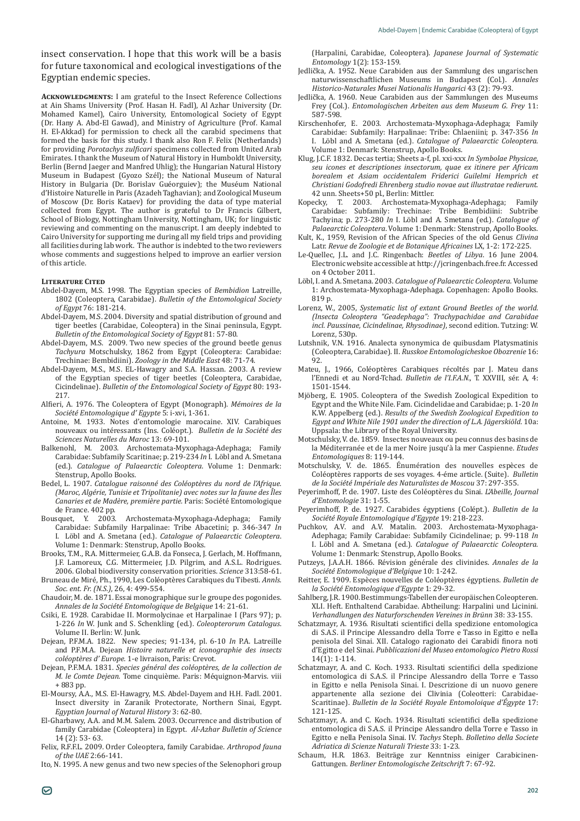insect conservation. I hope that this work will be a basis for future taxonomical and ecological investigations of the Egyptian endemic species.

**Acknowledgments:** I am grateful to the Insect Reference Collections at Ain Shams University (Prof. Hasan H. Fadl), Al Azhar University (Dr. Mohamed Kamel), Cairo University, Entomological Society of Egypt (Dr. Hany A. Abd-El Gawad), and Ministry of Agriculture (Prof. Kamal H. El-Akkad) for permission to check all the carabid specimens that formed the basis for this study. I thank also Ron F. Felix (Netherlands) for providing *Porotachys zulficari* specimens collected from United Arab Emirates. I thank the Museum of Natural History in Humboldt University, Berlin (Bernd Jaeger and Manfred Uhlig); the Hungarian Natural History Museum in Budapest (Gyozo Szél); the National Museum of Natural History in Bulgaria (Dr. Borislav Guéorguiev); the Muséum National d'Histoire Naturelle in Paris (Azadeh Taghavian); and Zoological Museum of Moscow (Dr. Boris Kataev) for providing the data of type material collected from Egypt. The author is grateful to Dr Francis Gilbert, School of Biology, Nottingham University, Nottingham, UK; for linguistic reviewing and commenting on the manuscript. I am deeply indebted to Cairo University for supporting me during all my field trips and providing all facilities during lab work. The author is indebted to the two reviewers whose comments and suggestions helped to improve an earlier version of this article.

#### **Literature Cited**

- Abdel-Dayem, M.S. 1998. The Egyptian species of *Bembidion* Latreille, 1802 (Coleoptera, Carabidae). *Bulletin of the Entomological Society of Egypt* 76: 181-214.
- Abdel-Dayem, M.S. 2004. Diversity and spatial distribution of ground and tiger beetles (Carabidae, Coleoptera) in the Sinai peninsula, Egypt. *Bulletin of the Entomological Society of Egypt* 81: 57-80.
- Abdel-Dayem, M.S. 2009. Two new species of the ground beetle genus *Tachyura* Motschulsky, 1862 from Egypt (Coleoptera: Carabidae: Trechinae: Bembidiini). *Zoology in the Middle East* 48: 71-74.
- Abdel-Dayem, M.S., M.S. EL-Hawagry and S.A. Hassan. 2003. A review of the Egyptian species of tiger beetles (Coleoptera, Carabidae, Cicindelinae). *Bulletin of the Entomological Society of Egypt* 80: 193- 217.
- Alfieri, A. 1976. The Coleoptera of Egypt (Monograph). *Mémoires de la Société Entomologique d' Egypte* 5: i-xvi, 1-361.
- Antoine, M. 1933. Notes d'entomologie marocaine. XIV. Carabiques nouveaux ou intéressants (Ins. Coléopt.). *Bulletin de la Société des Sciences Naturelles du Maroc* 13: 69-101.
- Balkenohl, M. 2003. Archostemata-Myxophaga-Adephaga; Family Carabidae: Subfamily Scaritinae; p. 219-234 *In* I. Löbl and A. Smetana (ed.). *Catalogue of Palaearctic Coleoptera*. Volume 1: Denmark: Stenstrup, Apollo Books.
- Bedel, L. 1907. *Catalogue raisonné des Coléoptères du nord de l'Afrique. (Maroc, Algérie, Tunisie et Tripolitanie) avec notes sur la faune des Îles Canaries et de Madère, première partie.* Paris: Société Entomologique de France. 402 pp.<br>Bousquet. Y. 2003.
- Archostemata-Myxophaga-Adephaga; Family Carabidae: Subfamily Harpalinae: Tribe Abacetini; p. 346-347 *In*  I. Löbl and A. Smetana (ed.). *Catalogue of Palaearctic Coleoptera*. Volume 1: Denmark: Stenstrup, Apollo Books.
- Brooks, T.M., R.A. Mittermeier, G.A.B. da Fonseca, J. Gerlach, M. Hoffmann, J.F. Lamoreux, C.G. Mittermeier, J.D. Pilgrim, and A.S.L. Rodrigues. 2006. Global biodiversity conservation priorities. *Science* 313:58-61.
- Bruneau de Miré, Ph., 1990, Les Coléoptères Carabiques du Tibesti. *Annls. Soc. ent. Fr. (N.S.)*, 26, 4: 499-554.
- Chaudoir, M. de. 1871. Essai monographique sur le groupe des pogonides. *Annales de la Société Entomologique de Belgique* 14: 21-61.
- Csiki, E. 1928. Carabidae II. Mormolycinae et Harpalinae I (Pars 97); p. 1-226 *In* W. Junk and S. Schenkling (ed.). *Coleopterorum Catalogus*. Volume II. Berlin: W. Junk.
- Dejean, P.F.M.A. 1822. New species; 91-134, pl. 6-10 *In* P.A. Latreille and P.F.M.A. Dejean *Histoire naturelle et iconographie des insects coléoptères d' Europe.* 1-e livraison, Paris: Crevot.
- Dejean, P.F.M.A. 1831. *Species général des coléoptères, de la collection de M. le Comte Dejean.* Tome cinquième. Paris: Méquignon-Marvis. viii + 883 pp.
- El-Moursy, A.A., M.S. El-Hawagry, M.S. Abdel-Dayem and H.H. Fadl. 2001. Insect diversity in Zaranik Protectorate, Northern Sinai, Egypt. *Egyptian Journal of Natural History* 3: 62-80.
- El-Gharbawy, A.A. and M.M. Salem. 2003. Occurrence and distribution of family Carabidae (Coleoptera) in Egypt. *Al-Azhar Bulletin of Science* 14 (2): 53- 63.
- Felix, R.F.F.L. 2009. Order Coleoptera, family Carabidae. *Arthropod fauna of the UAE* 2:66-141.

Ito, N. 1995. A new genus and two new species of the Selenophori group

(Harpalini, Carabidae, Coleoptera). *Japanese Journal of Systematic Entomology* 1(2): 153-159.

- Jedlička, A. 1952. Neue Carabiden aus der Sammlung des ungarischen naturwissenschaftlichen Museums in Budapest (Col.). *Annales Historico-Naturales Musei Nationalis Hungarici* 43 (2): 79-93.
- Jedlička, A. 1960. Neue Carabiden aus der Sammlungen des Museums Frey (Col.). *Entomologischen Arbeiten aus dem Museum G. Frey* 11: 587-598.
- Kirschenhofer, E. 2003. Archostemata-Myxophaga-Adephaga; Family Carabidae: Subfamily: Harpalinae: Tribe: Chlaeniini; p. 347-356 *In* I. Löbl and A. Smetana (ed.). *Catalogue of Palaearctic Coleoptera*. Volume 1: Denmark: Stenstrup, Apollo Books.
- Klug, J.C.F. 1832. Decas tertia; Sheets a-f, pl. xxi-xxx *In Symbolae Physicae, seu icones et descriptiones insectorum, quae ex itinere per Africam borealem et Asiam occidentalem Friderici Guilelmi Hemprich et Christiani Godofredi Ehrenberg studio novae aut illustratae redierunt*. 42 unn. Sheets+50 pl., Berlin: Mittler.<br>Konecky T. 2003. Archostemata-M
- Kopecky, T. 2003. Archostemata-Myxophaga-Adephaga; Family Carabidae: Subfamily: Trechinae: Tribe Bembidiini: Subtribe Tachyina; p. 273-280 *In* I. Löbl and A. Smetana (ed.). *Catalogue of Palaearctic Coleoptera*. Volume 1: Denmark: Stenstrup, Apollo Books.
- Kult, K., 1959, Revision of the African Species of the old Genus *Clivina* Latr. *Revue de Zoologie et de Botanique Africaines* LX, 1-2: 172-225.
- Le-Quellec, J.L. and J.C. Ringenbach: *Beetles of Libya*. 16 June 2004. Electronic website accessible at http://jcringenbach.free.fr. Accessed on 4 October 2011.
- Löbl, I. and A. Smetana. 2003. *Catalogue of Palaearctic Coleoptera*. Volume 1: Archostemata-Myxophaga-Adephaga. Copenhagen: Apollo Books. 819 p.
- Lorenz, W., 2005, *Systematic list of extant Ground Beetles of the world. (Insecta Coleoptera "Geadephaga": Trachypachidae and Carabidae incl. Paussinae, Cicindelinae, Rhysodinae)*, second edition. Tutzing: W. Lorenz, 530p.
- Lutshnik, V.N. 1916. Analecta synonymica de quibusdam Platysmatinis (Coleoptera, Carabidae). II. *Russkoe Entomologicheskoe Obozrenie* 16: 92.
- Mateu, J., 1966, Coléoptères Carabiques récoltés par J. Mateu dans l'Ennedi et au Nord-Tchad. *Bulletin de l'I.F.A.N.*, T. XXVIII, sér. A, 4: 1501-1544.
- Mjöberg, E. 1905. Coleoptera of the Swedish Zoological Expedition to Egypt and the White Nile. Fam. Cicindelidae and Carabidae; p. 1-20 *In*  K.W. Appelberg (ed.). *Results of the Swedish Zoological Expedition to Egypt and White Nile 1901 under the direction of L.A. Jägerskiöld*. 10a: Uppsala: the Library of the Royal University.
- Motschulsky, V. de. 1859. Insectes nouveaux ou peu connus des basins de la Méditerranée et de la mer Noire jusqu'à la mer Caspienne. *Etudes Entomologiques* 8: 119-144.
- Motschulsky, V. de. 1865. Énumération des nouvelles espèces de Coléoptères rapports de ses voyages. 4-éme article. (Suite). *Bulletin de la Société Impériale des Naturalistes de Moscou* 37: 297-355.
- Peyerimhoff, P. de. 1907. Liste des Coléoptères du Sinai. *L'Abeille, Journal d'Entomologie* 31: 1-55.
- Peyerimhoff, P. de. 1927. Carabides égyptiens (Colépt.). *Bulletin de la Société Royale Entomologique d'Egypte* 19: 218-223.
- Puchkov, A.V. and A.V. Matalin. 2003. Archostemata-Myxophaga-Adephaga; Family Carabidae: Subfamily Cicindelinae; p. 99-118 *In*  I. Löbl and A. Smetana (ed.). *Catalogue of Palaearctic Coleoptera*. Volume 1: Denmark: Stenstrup, Apollo Books.
- Putzeys, J.A.A.H. 1866. Révision générale des clivinides. *Annales de la Société Entomologique d'Belgique* 10: 1-242.
- Reitter, E. 1909. Espèces nouvelles de Coléoptères égyptiens. *Bulletin de la Société Entomologique d'Egypte* 1: 29-32.
- Sahlberg, J.R. 1900. Bestimmungs-Tabellen der europäischen Coleopteren. XLI. Heft. Enthaltend Carabidae. Abtheilung: Harpalini und Licinini. *Verhandlungen des Naturforschenden Vereines in Brünn* 38: 33-155.
- Schatzmayr, A. 1936. Risultati scientifici della spedizione entomologica di S.A.S. il Principe Alessandro della Torre e Tasso in Egitto e nella penisola del Sinai. XII. Catalogo ragionato dei Carabidi finora noti d'Egitto e del Sinai. *Pubblicazioni del Museo entomologico Pietro Rossi* 14(1): 1-114.
- Schatzmayr, A. and C. Koch. 1933. Risultati scientifici della spedizione entomologica di S.A.S. il Principe Alessandro della Torre e Tasso in Egitto e nella Penisola Sinai. I. Descrizione di un nuovo genere appartenente alla sezione dei Clivinia (Coleotteri: Carabidae-Scaritinae). *Bulletin de la Société Royale Entomoloique d'Égypte* 17: 121-125.
- Schatzmayr, A. and C. Koch. 1934. Risultati scientifici della spedizione entomologica di S.A.S. il Principe Alessandro della Torre e Tasso in Egitto e nella Penisola Sinai. IV. *Tachys* Steph. *Bolletino della Societe Adriatica di Scienze Naturali Trieste* 33: 1-23.
- Schaum, H.R. 1863. Beiträge zur Kenntniss einiger Carabicinen-Gattungen. *Berliner Entomologische Zeitschrift* 7: 67-92.